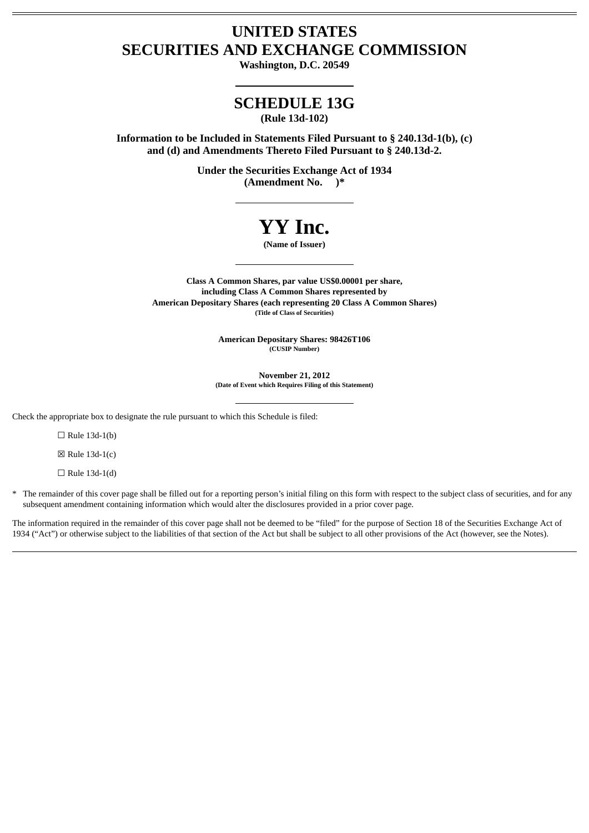## **UNITED STATES SECURITIES AND EXCHANGE COMMISSION**

**Washington, D.C. 20549**

## **SCHEDULE 13G**

**(Rule 13d-102)**

**Information to be Included in Statements Filed Pursuant to § 240.13d-1(b), (c) and (d) and Amendments Thereto Filed Pursuant to § 240.13d-2.**

> **Under the Securities Exchange Act of 1934 (Amendment No. )\***

# **YY Inc.**

**(Name of Issuer)**

**Class A Common Shares, par value US\$0.00001 per share, including Class A Common Shares represented by American Depositary Shares (each representing 20 Class A Common Shares) (Title of Class of Securities)**

> **American Depositary Shares: 98426T106 (CUSIP Number)**

**November 21, 2012 (Date of Event which Requires Filing of this Statement)**

Check the appropriate box to designate the rule pursuant to which this Schedule is filed:

 $\Box$  Rule 13d-1(b)

 $\boxtimes$  Rule 13d-1(c)

 $\Box$  Rule 13d-1(d)

\* The remainder of this cover page shall be filled out for a reporting person's initial filing on this form with respect to the subject class of securities, and for any subsequent amendment containing information which would alter the disclosures provided in a prior cover page.

The information required in the remainder of this cover page shall not be deemed to be "filed" for the purpose of Section 18 of the Securities Exchange Act of 1934 ("Act") or otherwise subject to the liabilities of that section of the Act but shall be subject to all other provisions of the Act (however, see the Notes).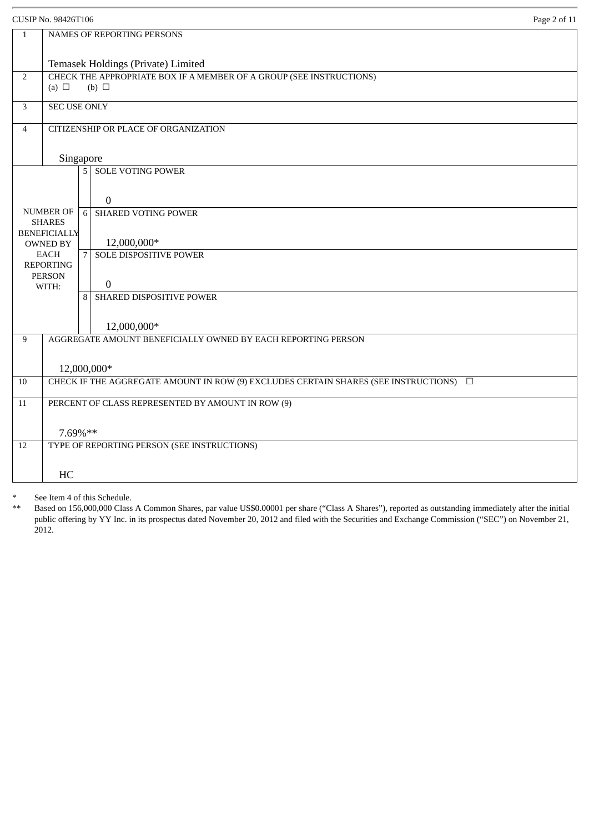|                | <b>CUSIP No. 98426T106</b><br>Page 2 of 11                                                    |   |                                              |  |
|----------------|-----------------------------------------------------------------------------------------------|---|----------------------------------------------|--|
| $\mathbf{1}$   | NAMES OF REPORTING PERSONS                                                                    |   |                                              |  |
|                | Temasek Holdings (Private) Limited                                                            |   |                                              |  |
| 2              | CHECK THE APPROPRIATE BOX IF A MEMBER OF A GROUP (SEE INSTRUCTIONS)                           |   |                                              |  |
|                | (a) $\Box$<br>$(b)$ $\square$                                                                 |   |                                              |  |
| 3              | <b>SEC USE ONLY</b>                                                                           |   |                                              |  |
| $\overline{4}$ | CITIZENSHIP OR PLACE OF ORGANIZATION                                                          |   |                                              |  |
|                |                                                                                               |   |                                              |  |
|                | Singapore<br>5 <sup>1</sup>                                                                   |   | <b>SOLE VOTING POWER</b>                     |  |
|                |                                                                                               |   |                                              |  |
|                |                                                                                               |   | $\overline{0}$                               |  |
|                | <b>NUMBER OF</b>                                                                              | 6 | <b>SHARED VOTING POWER</b>                   |  |
|                | <b>SHARES</b><br><b>BENEFICIALLY</b>                                                          |   |                                              |  |
|                | <b>OWNED BY</b>                                                                               |   | 12,000,000*                                  |  |
|                | <b>EACH</b><br><b>REPORTING</b>                                                               | 7 | <b>SOLE DISPOSITIVE POWER</b>                |  |
|                | <b>PERSON</b>                                                                                 |   |                                              |  |
|                | WITH:                                                                                         | 8 | $\boldsymbol{0}$<br>SHARED DISPOSITIVE POWER |  |
|                |                                                                                               |   |                                              |  |
|                |                                                                                               |   | 12,000,000*                                  |  |
| 9              | AGGREGATE AMOUNT BENEFICIALLY OWNED BY EACH REPORTING PERSON                                  |   |                                              |  |
|                |                                                                                               |   |                                              |  |
|                | 12,000,000*                                                                                   |   |                                              |  |
| 10             | CHECK IF THE AGGREGATE AMOUNT IN ROW (9) EXCLUDES CERTAIN SHARES (SEE INSTRUCTIONS) $\square$ |   |                                              |  |
| $11\,$         | PERCENT OF CLASS REPRESENTED BY AMOUNT IN ROW (9)                                             |   |                                              |  |
|                |                                                                                               |   |                                              |  |
| 12             | 7.69%**<br>TYPE OF REPORTING PERSON (SEE INSTRUCTIONS)                                        |   |                                              |  |
|                |                                                                                               |   |                                              |  |
|                | HC                                                                                            |   |                                              |  |
|                |                                                                                               |   |                                              |  |

Based on 156,000,000 Class A Common Shares, par value US\$0.00001 per share ("Class A Shares"), reported as outstanding immediately after the initial public offering by YY Inc. in its prospectus dated November 20, 2012 and filed with the Securities and Exchange Commission ("SEC") on November 21, 2012.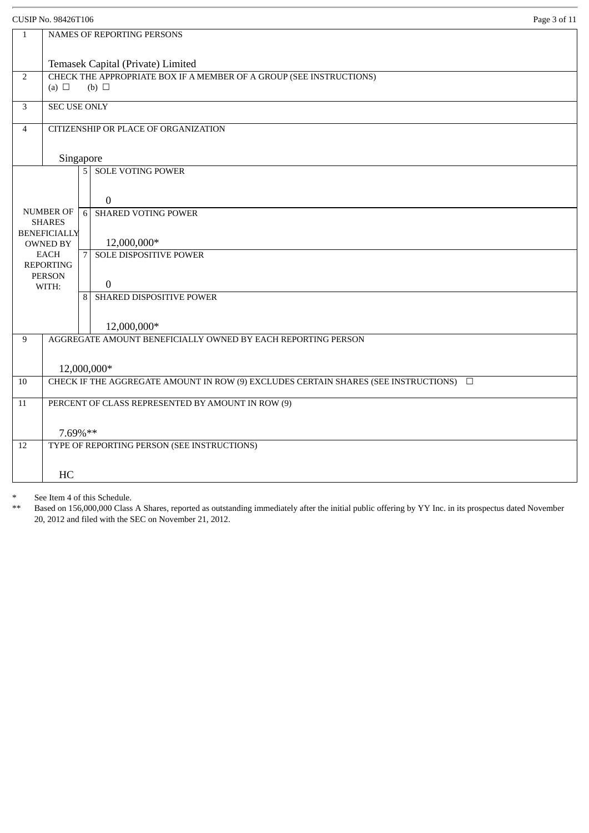|                | CUSIP No. 98426T106                                                                             |                |                                                              | Page 3 of 11 |
|----------------|-------------------------------------------------------------------------------------------------|----------------|--------------------------------------------------------------|--------------|
| $\mathbf{1}$   | NAMES OF REPORTING PERSONS                                                                      |                |                                                              |              |
|                | Temasek Capital (Private) Limited                                                               |                |                                                              |              |
| $\overline{2}$ | CHECK THE APPROPRIATE BOX IF A MEMBER OF A GROUP (SEE INSTRUCTIONS)<br>(a) $\Box$<br>(b) $\Box$ |                |                                                              |              |
| 3              | <b>SEC USE ONLY</b>                                                                             |                |                                                              |              |
| $\overline{4}$ | CITIZENSHIP OR PLACE OF ORGANIZATION                                                            |                |                                                              |              |
|                |                                                                                                 | Singapore      |                                                              |              |
|                |                                                                                                 |                | 5 SOLE VOTING POWER                                          |              |
|                |                                                                                                 |                | $\overline{0}$                                               |              |
|                | <b>NUMBER OF</b><br><b>SHARES</b>                                                               | 6              | <b>SHARED VOTING POWER</b>                                   |              |
|                | <b>BENEFICIALLY</b><br><b>OWNED BY</b>                                                          |                | 12,000,000*                                                  |              |
|                | <b>EACH</b><br><b>REPORTING</b>                                                                 | $\overline{7}$ | <b>SOLE DISPOSITIVE POWER</b>                                |              |
|                | <b>PERSON</b><br>WITH:                                                                          |                | $\boldsymbol{0}$                                             |              |
|                |                                                                                                 | 8              | SHARED DISPOSITIVE POWER                                     |              |
|                |                                                                                                 |                | 12,000,000*                                                  |              |
| 9              |                                                                                                 |                | AGGREGATE AMOUNT BENEFICIALLY OWNED BY EACH REPORTING PERSON |              |
|                |                                                                                                 | 12,000,000*    |                                                              |              |
| 10             | CHECK IF THE AGGREGATE AMOUNT IN ROW (9) EXCLUDES CERTAIN SHARES (SEE INSTRUCTIONS) $\square$   |                |                                                              |              |
| $11\,$         | PERCENT OF CLASS REPRESENTED BY AMOUNT IN ROW (9)                                               |                |                                                              |              |
|                | 7.69%**                                                                                         |                |                                                              |              |
| 12             | TYPE OF REPORTING PERSON (SEE INSTRUCTIONS)                                                     |                |                                                              |              |
|                | HC                                                                                              |                |                                                              |              |
|                |                                                                                                 |                |                                                              |              |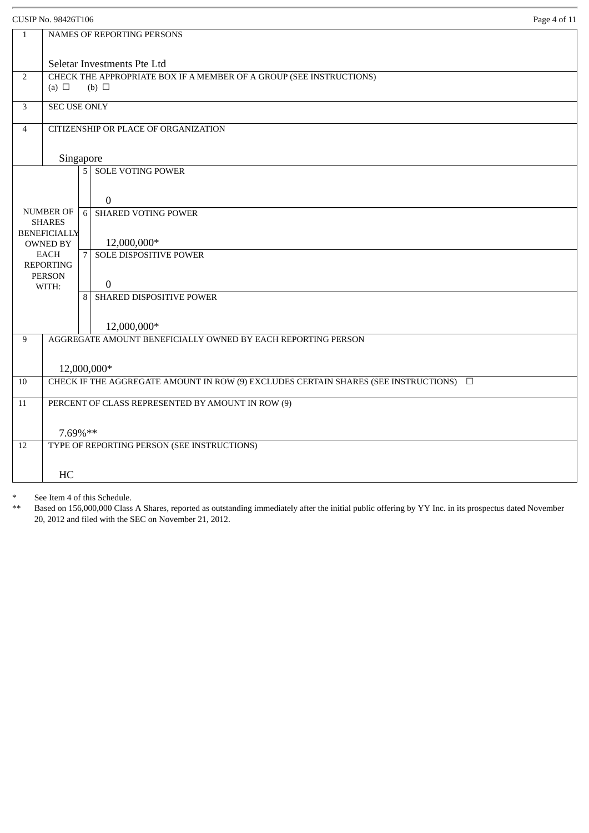|                | Page 4 of 11<br><b>CUSIP No. 98426T106</b>                                                         |                                                              |  |  |
|----------------|----------------------------------------------------------------------------------------------------|--------------------------------------------------------------|--|--|
| $\mathbf{1}$   | NAMES OF REPORTING PERSONS                                                                         |                                                              |  |  |
|                |                                                                                                    |                                                              |  |  |
| 2              | Seletar Investments Pte Ltd<br>CHECK THE APPROPRIATE BOX IF A MEMBER OF A GROUP (SEE INSTRUCTIONS) |                                                              |  |  |
|                | (a) $\Box$<br>(b) $\Box$                                                                           |                                                              |  |  |
| 3              | <b>SEC USE ONLY</b>                                                                                |                                                              |  |  |
| $\overline{4}$ |                                                                                                    | CITIZENSHIP OR PLACE OF ORGANIZATION                         |  |  |
|                |                                                                                                    | Singapore                                                    |  |  |
|                |                                                                                                    | <b>5 SOLE VOTING POWER</b>                                   |  |  |
|                |                                                                                                    | $\boldsymbol{0}$                                             |  |  |
|                | <b>NUMBER OF</b>                                                                                   | <b>SHARED VOTING POWER</b><br>6                              |  |  |
|                | <b>SHARES</b><br><b>BENEFICIALLY</b>                                                               |                                                              |  |  |
|                | <b>OWNED BY</b><br><b>EACH</b>                                                                     | 12,000,000*<br>SOLE DISPOSITIVE POWER                        |  |  |
|                | <b>REPORTING</b>                                                                                   | 7                                                            |  |  |
|                | <b>PERSON</b><br>WITH:                                                                             | $\boldsymbol{0}$                                             |  |  |
|                |                                                                                                    | SHARED DISPOSITIVE POWER<br>8 <sup>1</sup>                   |  |  |
|                |                                                                                                    |                                                              |  |  |
|                |                                                                                                    | 12,000,000*                                                  |  |  |
| 9              |                                                                                                    | AGGREGATE AMOUNT BENEFICIALLY OWNED BY EACH REPORTING PERSON |  |  |
|                |                                                                                                    | 12,000,000*                                                  |  |  |
| 10             | CHECK IF THE AGGREGATE AMOUNT IN ROW (9) EXCLUDES CERTAIN SHARES (SEE INSTRUCTIONS) □              |                                                              |  |  |
| 11             | PERCENT OF CLASS REPRESENTED BY AMOUNT IN ROW (9)                                                  |                                                              |  |  |
|                |                                                                                                    |                                                              |  |  |
|                | 7.69%**                                                                                            |                                                              |  |  |
| 12             | TYPE OF REPORTING PERSON (SEE INSTRUCTIONS)                                                        |                                                              |  |  |
|                | HC                                                                                                 |                                                              |  |  |
|                |                                                                                                    |                                                              |  |  |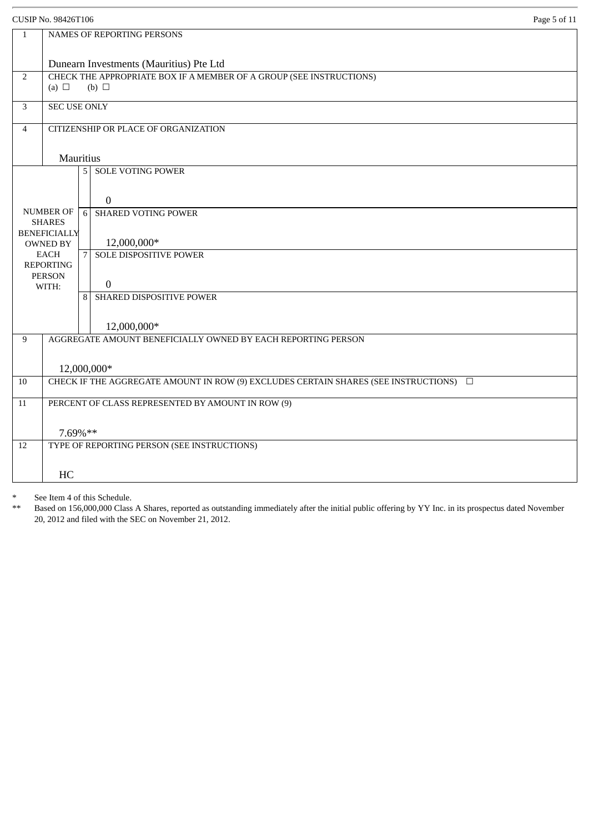|                | Page 5 of 11<br><b>CUSIP No. 98426T106</b>                                                                     |  |  |  |
|----------------|----------------------------------------------------------------------------------------------------------------|--|--|--|
| $\mathbf{1}$   | NAMES OF REPORTING PERSONS                                                                                     |  |  |  |
|                |                                                                                                                |  |  |  |
| $\overline{2}$ | Dunearn Investments (Mauritius) Pte Ltd<br>CHECK THE APPROPRIATE BOX IF A MEMBER OF A GROUP (SEE INSTRUCTIONS) |  |  |  |
|                | (a) $\Box$<br>$(b)$ $\square$                                                                                  |  |  |  |
| 3              | <b>SEC USE ONLY</b>                                                                                            |  |  |  |
| $\overline{4}$ | CITIZENSHIP OR PLACE OF ORGANIZATION                                                                           |  |  |  |
|                | <b>Mauritius</b>                                                                                               |  |  |  |
|                | <b>SOLE VOTING POWER</b><br>5 <sup>1</sup>                                                                     |  |  |  |
|                | $\mathbf{0}$                                                                                                   |  |  |  |
|                | NUMBER OF<br><b>SHARED VOTING POWER</b><br>6<br><b>SHARES</b>                                                  |  |  |  |
|                | <b>BENEFICIALLY</b><br>12,000,000*<br><b>OWNED BY</b>                                                          |  |  |  |
|                | <b>EACH</b><br><b>SOLE DISPOSITIVE POWER</b><br>7<br><b>REPORTING</b>                                          |  |  |  |
|                | <b>PERSON</b><br>$\overline{0}$<br>WITH:                                                                       |  |  |  |
|                | SHARED DISPOSITIVE POWER<br>$\mathsf{R}$                                                                       |  |  |  |
|                | 12,000,000*                                                                                                    |  |  |  |
| 9              | AGGREGATE AMOUNT BENEFICIALLY OWNED BY EACH REPORTING PERSON                                                   |  |  |  |
|                | 12,000,000*                                                                                                    |  |  |  |
| 10             | CHECK IF THE AGGREGATE AMOUNT IN ROW (9) EXCLUDES CERTAIN SHARES (SEE INSTRUCTIONS) $\square$                  |  |  |  |
| 11             | PERCENT OF CLASS REPRESENTED BY AMOUNT IN ROW (9)                                                              |  |  |  |
|                |                                                                                                                |  |  |  |
|                | 7.69%**                                                                                                        |  |  |  |
| 12             | TYPE OF REPORTING PERSON (SEE INSTRUCTIONS)                                                                    |  |  |  |
|                | HC                                                                                                             |  |  |  |
|                |                                                                                                                |  |  |  |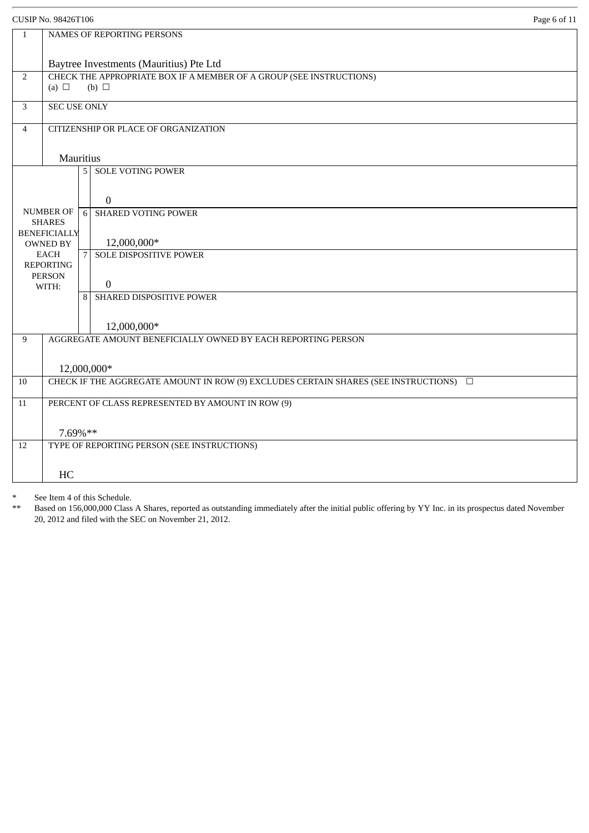|                | Page 6 of 11<br><b>CUSIP No. 98426T106</b>                                                                     |  |  |  |
|----------------|----------------------------------------------------------------------------------------------------------------|--|--|--|
| $\mathbf{1}$   | NAMES OF REPORTING PERSONS                                                                                     |  |  |  |
|                |                                                                                                                |  |  |  |
| $\overline{2}$ | Baytree Investments (Mauritius) Pte Ltd<br>CHECK THE APPROPRIATE BOX IF A MEMBER OF A GROUP (SEE INSTRUCTIONS) |  |  |  |
|                | (a) $\Box$<br>$(b)$ $\square$                                                                                  |  |  |  |
| 3              | <b>SEC USE ONLY</b>                                                                                            |  |  |  |
| $\overline{4}$ | CITIZENSHIP OR PLACE OF ORGANIZATION                                                                           |  |  |  |
|                |                                                                                                                |  |  |  |
|                | Mauritius                                                                                                      |  |  |  |
|                | <b>SOLE VOTING POWER</b><br>5 <sup>1</sup>                                                                     |  |  |  |
|                | $\mathbf{0}$                                                                                                   |  |  |  |
|                | <b>NUMBER OF</b><br><b>SHARED VOTING POWER</b><br>6                                                            |  |  |  |
|                | <b>SHARES</b>                                                                                                  |  |  |  |
|                | <b>BENEFICIALLY</b><br>12,000,000*<br><b>OWNED BY</b>                                                          |  |  |  |
|                | <b>EACH</b><br>SOLE DISPOSITIVE POWER<br>7<br><b>REPORTING</b>                                                 |  |  |  |
|                | <b>PERSON</b>                                                                                                  |  |  |  |
|                | $\overline{0}$<br>WITH:<br>SHARED DISPOSITIVE POWER<br>$\mathbf{8}$                                            |  |  |  |
|                |                                                                                                                |  |  |  |
|                | 12,000,000*                                                                                                    |  |  |  |
| 9              | AGGREGATE AMOUNT BENEFICIALLY OWNED BY EACH REPORTING PERSON                                                   |  |  |  |
|                |                                                                                                                |  |  |  |
|                | 12,000,000*                                                                                                    |  |  |  |
| 10             | CHECK IF THE AGGREGATE AMOUNT IN ROW (9) EXCLUDES CERTAIN SHARES (SEE INSTRUCTIONS) $\square$                  |  |  |  |
| 11             | PERCENT OF CLASS REPRESENTED BY AMOUNT IN ROW (9)                                                              |  |  |  |
|                |                                                                                                                |  |  |  |
| 12             | 7.69%**<br>TYPE OF REPORTING PERSON (SEE INSTRUCTIONS)                                                         |  |  |  |
|                |                                                                                                                |  |  |  |
|                | HC                                                                                                             |  |  |  |
|                |                                                                                                                |  |  |  |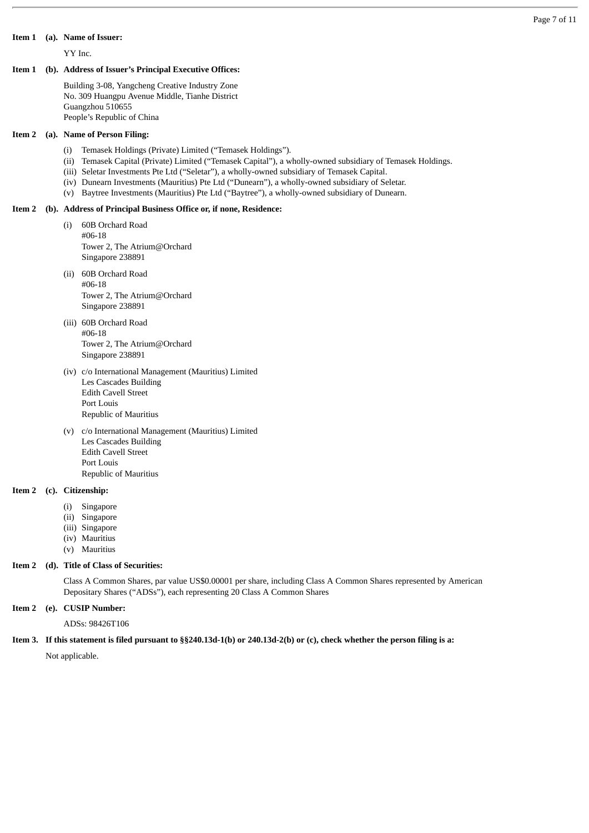#### **Item 1 (a). Name of Issuer:**

YY Inc.

#### **Item 1 (b). Address of Issuer's Principal Executive Offices:**

Building 3-08, Yangcheng Creative Industry Zone No. 309 Huangpu Avenue Middle, Tianhe District Guangzhou 510655 People's Republic of China

#### **Item 2 (a). Name of Person Filing:**

- (i) Temasek Holdings (Private) Limited ("Temasek Holdings").
- (ii) Temasek Capital (Private) Limited ("Temasek Capital"), a wholly-owned subsidiary of Temasek Holdings.
- (iii) Seletar Investments Pte Ltd ("Seletar"), a wholly-owned subsidiary of Temasek Capital.
- (iv) Dunearn Investments (Mauritius) Pte Ltd ("Dunearn"), a wholly-owned subsidiary of Seletar.
- (v) Baytree Investments (Mauritius) Pte Ltd ("Baytree"), a wholly-owned subsidiary of Dunearn.

#### **Item 2 (b). Address of Principal Business Office or, if none, Residence:**

- (i) 60B Orchard Road #06-18 Tower 2, The Atrium@Orchard Singapore 238891
- (ii) 60B Orchard Road #06-18 Tower 2, The Atrium@Orchard Singapore 238891
- (iii) 60B Orchard Road #06-18 Tower 2, The Atrium@Orchard Singapore 238891
- (iv) c/o International Management (Mauritius) Limited Les Cascades Building Edith Cavell Street Port Louis Republic of Mauritius
- (v) c/o International Management (Mauritius) Limited Les Cascades Building Edith Cavell Street Port Louis Republic of Mauritius

#### **Item 2 (c). Citizenship:**

- (i) Singapore
- (ii) Singapore
- (iii) Singapore<br>(iv) Mauritius
- (iv) Mauritius
- (v) Mauritius

#### **Item 2 (d). Title of Class of Securities:**

Class A Common Shares, par value US\$0.00001 per share, including Class A Common Shares represented by American Depositary Shares ("ADSs"), each representing 20 Class A Common Shares

#### **Item 2 (e). CUSIP Number:**

ADSs: 98426T106

#### **Item 3. If this statement is filed pursuant to §§240.13d-1(b) or 240.13d-2(b) or (c), check whether the person filing is a:**

Not applicable.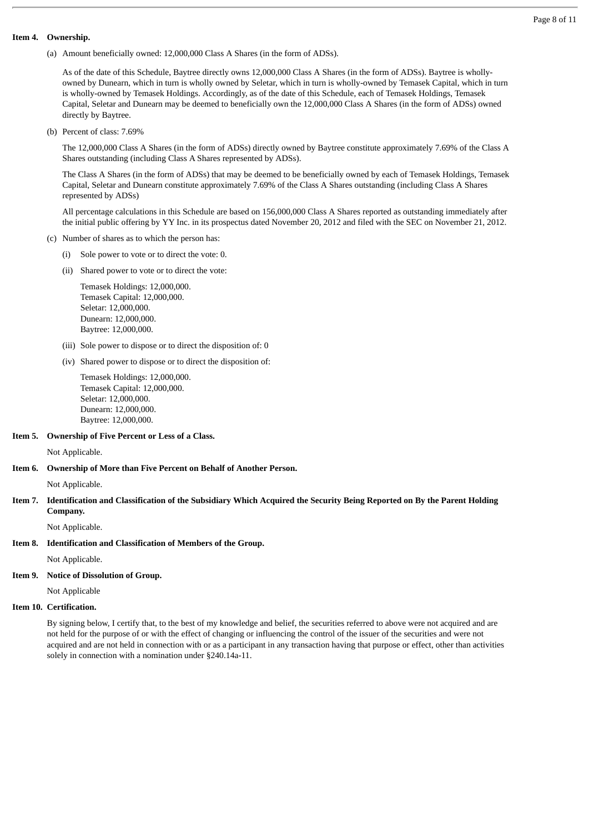#### **Item 4. Ownership.**

(a) Amount beneficially owned: 12,000,000 Class A Shares (in the form of ADSs).

As of the date of this Schedule, Baytree directly owns 12,000,000 Class A Shares (in the form of ADSs). Baytree is whollyowned by Dunearn, which in turn is wholly owned by Seletar, which in turn is wholly-owned by Temasek Capital, which in turn is wholly-owned by Temasek Holdings. Accordingly, as of the date of this Schedule, each of Temasek Holdings, Temasek Capital, Seletar and Dunearn may be deemed to beneficially own the 12,000,000 Class A Shares (in the form of ADSs) owned directly by Baytree.

(b) Percent of class: 7.69%

The 12,000,000 Class A Shares (in the form of ADSs) directly owned by Baytree constitute approximately 7.69% of the Class A Shares outstanding (including Class A Shares represented by ADSs).

The Class A Shares (in the form of ADSs) that may be deemed to be beneficially owned by each of Temasek Holdings, Temasek Capital, Seletar and Dunearn constitute approximately 7.69% of the Class A Shares outstanding (including Class A Shares represented by ADSs)

All percentage calculations in this Schedule are based on 156,000,000 Class A Shares reported as outstanding immediately after the initial public offering by YY Inc. in its prospectus dated November 20, 2012 and filed with the SEC on November 21, 2012.

- (c) Number of shares as to which the person has:
	- (i) Sole power to vote or to direct the vote: 0.
	- (ii) Shared power to vote or to direct the vote:

 Temasek Holdings: 12,000,000. Temasek Capital: 12,000,000. Seletar: 12,000,000. Dunearn: 12,000,000. Baytree: 12,000,000.

- (iii) Sole power to dispose or to direct the disposition of: 0
- (iv) Shared power to dispose or to direct the disposition of:

 Temasek Holdings: 12,000,000. Temasek Capital: 12,000,000. Seletar: 12,000,000. Dunearn: 12,000,000. Baytree: 12,000,000.

#### **Item 5. Ownership of Five Percent or Less of a Class.**

Not Applicable.

#### **Item 6. Ownership of More than Five Percent on Behalf of Another Person.**

Not Applicable.

#### **Item 7. Identification and Classification of the Subsidiary Which Acquired the Security Being Reported on By the Parent Holding Company.**

Not Applicable.

**Item 8. Identification and Classification of Members of the Group.**

Not Applicable.

#### **Item 9. Notice of Dissolution of Group.**

Not Applicable

#### **Item 10. Certification.**

By signing below, I certify that, to the best of my knowledge and belief, the securities referred to above were not acquired and are not held for the purpose of or with the effect of changing or influencing the control of the issuer of the securities and were not acquired and are not held in connection with or as a participant in any transaction having that purpose or effect, other than activities solely in connection with a nomination under §240.14a-11.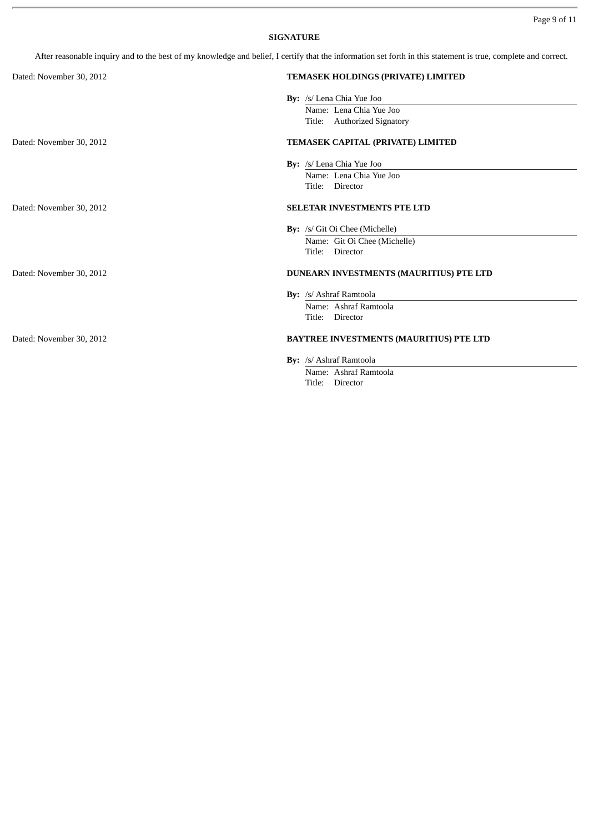### **SIGNATURE**

After reasonable inquiry and to the best of my knowledge and belief, I certify that the information set forth in this statement is true, complete and correct.

| Dated: November 30, 2012 | TEMASEK HOLDINGS (PRIVATE) LIMITED      |
|--------------------------|-----------------------------------------|
|                          | By: /s/ Lena Chia Yue Joo               |
|                          | Name: Lena Chia Yue Joo                 |
|                          | Title: Authorized Signatory             |
| Dated: November 30, 2012 | TEMASEK CAPITAL (PRIVATE) LIMITED       |
|                          | By: /s/ Lena Chia Yue Joo               |
|                          | Name: Lena Chia Yue Joo                 |
|                          | Title: Director                         |
| Dated: November 30, 2012 | SELETAR INVESTMENTS PTE LTD             |
|                          | By: /s/ Git Oi Chee (Michelle)          |
|                          | Name: Git Oi Chee (Michelle)            |
|                          | Title: Director                         |
| Dated: November 30, 2012 | DUNEARN INVESTMENTS (MAURITIUS) PTE LTD |
|                          | By: /s/ Ashraf Ramtoola                 |
|                          | Name: Ashraf Ramtoola                   |
|                          | Title:<br>Director                      |
| Dated: November 30, 2012 | BAYTREE INVESTMENTS (MAURITIUS) PTE LTD |
|                          | By: /s/ Ashraf Ramtoola                 |
|                          | Name: Ashraf Ramtoola                   |
|                          | Title: Director                         |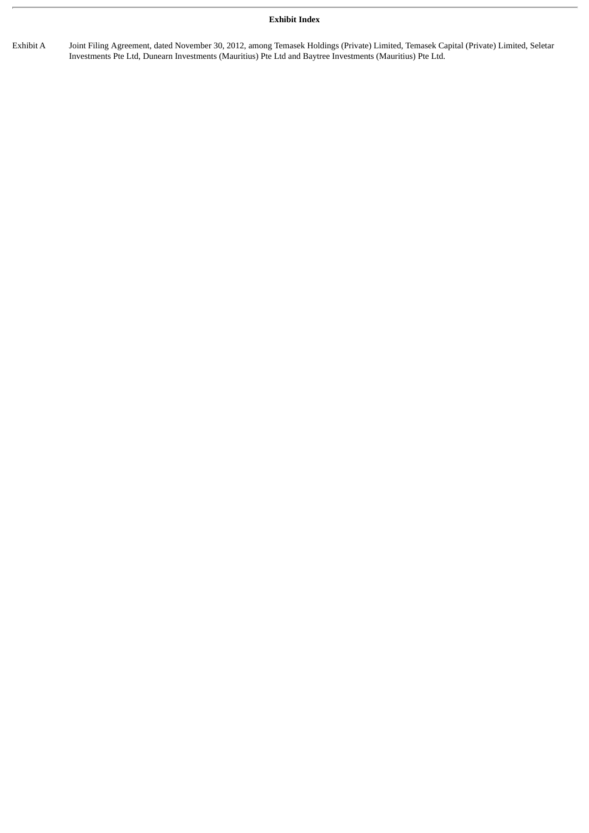#### **Exhibit Index**

Exhibit A Joint Filing Agreement, dated November 30, 2012, among Temasek Holdings (Private) Limited, Temasek Capital (Private) Limited, Seletar Investments Pte Ltd, Dunearn Investments (Mauritius) Pte Ltd and Baytree Investments (Mauritius) Pte Ltd.